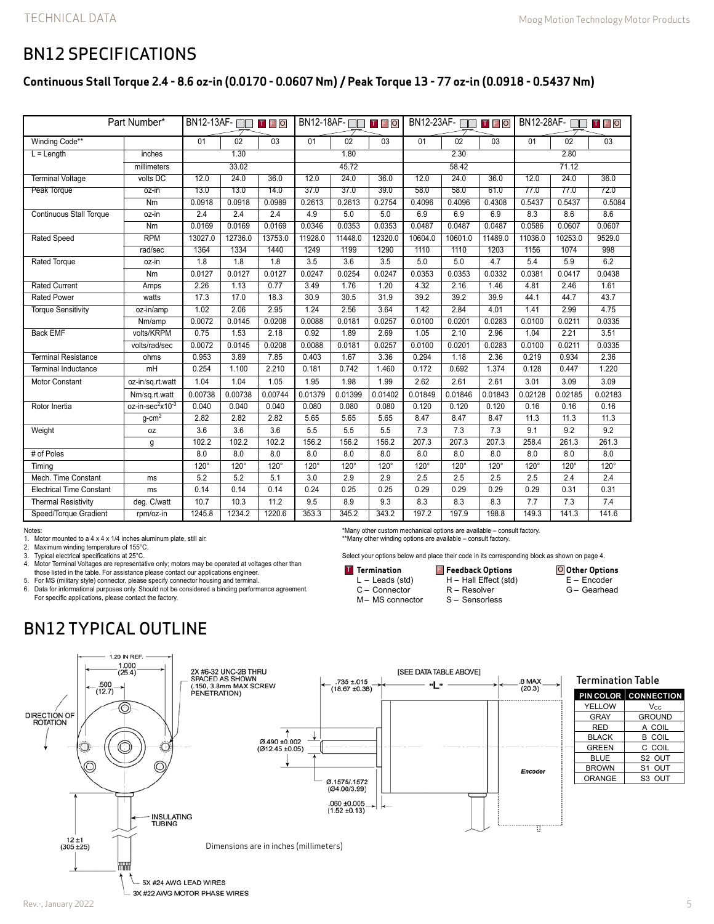### BN12 SPECIFICATIONS

### **Continuous Stall Torque 2.4 - 8.6 oz-in (0.0170 - 0.0607 Nm) / Peak Torque 13 - 77 oz-in (0.0918 - 0.5437 Nm)**

| Part Number*                    |                                          | BN12-13AF-<br>TFO |             |             | BN12-18AF-□□<br>TFO |             |         | BN12-23AF-<br>TFO |         |         | <b>BN12-28AF- OD TFO</b> |             |             |
|---------------------------------|------------------------------------------|-------------------|-------------|-------------|---------------------|-------------|---------|-------------------|---------|---------|--------------------------|-------------|-------------|
| Winding Code**                  |                                          | 01                | 02          | 03          | 01                  | 02          | 03      | 01                | 02      | 03      | 01                       | 02          | 03          |
| $L =$ Length<br>inches          |                                          | 1.30              |             |             | 1.80                |             |         | 2.30              |         |         | 2.80                     |             |             |
|                                 | millimeters                              | 33.02             |             |             | 45.72               |             |         | 58.42             |         |         | 71.12                    |             |             |
| <b>Terminal Voltage</b>         | volts DC                                 | 12.0              | 24.0        | 36.0        | 12.0                | 24.0        | 36.0    | 12.0              | 24.0    | 36.0    | 12.0                     | 24.0        | 36.0        |
| Peak Torque                     | oz-in                                    | 13.0              | 13.0        | 14.0        | 37.0                | 37.0        | 39.0    | 58.0              | 58.0    | 61.0    | 77.0                     | 77.0        | 72.0        |
|                                 | N <sub>m</sub>                           | 0.0918            | 0.0918      | 0.0989      | 0.2613              | 0.2613      | 0.2754  | 0.4096            | 0.4096  | 0.4308  | 0.5437                   | 0.5437      | 0.5084      |
| <b>Continuous Stall Torque</b>  | oz-in                                    | 2.4               | 2.4         | 2.4         | 4.9                 | 5.0         | 5.0     | 6.9               | 6.9     | 6.9     | 8.3                      | 8.6         | 8.6         |
|                                 | Nm                                       | 0.0169            | 0.0169      | 0.0169      | 0.0346              | 0.0353      | 0.0353  | 0.0487            | 0.0487  | 0.0487  | 0.0586                   | 0.0607      | 0.0607      |
| <b>Rated Speed</b>              | <b>RPM</b>                               | 13027.0           | 12736.0     | 13753.0     | 11928.0             | 11448.0     | 12320.0 | 10604.0           | 10601.0 | 11489.0 | 11036.0                  | 10253.0     | 9529.0      |
|                                 | rad/sec                                  | 1364              | 1334        | 1440        | 1249                | 1199        | 1290    | 1110              | 1110    | 1203    | 1156                     | 1074        | 998         |
| Rated Torque                    | oz-in                                    | 1.8               | 1.8         | 1.8         | 3.5                 | 3.6         | 3.5     | 5.0               | 5.0     | 4.7     | 5.4                      | 5.9         | 6.2         |
|                                 | Nm                                       | 0.0127            | 0.0127      | 0.0127      | 0.0247              | 0.0254      | 0.0247  | 0.0353            | 0.0353  | 0.0332  | 0.0381                   | 0.0417      | 0.0438      |
| <b>Rated Current</b>            | Amps                                     | 2.26              | 1.13        | 0.77        | 3.49                | 1.76        | 1.20    | 4.32              | 2.16    | 1.46    | 4.81                     | 2.46        | 1.61        |
| <b>Rated Power</b>              | watts                                    | 17.3              | 17.0        | 18.3        | 30.9                | 30.5        | 31.9    | 39.2              | 39.2    | 39.9    | 44.1                     | 44.7        | 43.7        |
| <b>Torque Sensitivity</b>       | oz-in/amp                                | 1.02              | 2.06        | 2.95        | 1.24                | 2.56        | 3.64    | 1.42              | 2.84    | 4.01    | 1.41                     | 2.99        | 4.75        |
|                                 | Nm/amp                                   | 0.0072            | 0.0145      | 0.0208      | 0.0088              | 0.0181      | 0.0257  | 0.0100            | 0.0201  | 0.0283  | 0.0100                   | 0.0211      | 0.0335      |
| <b>Back EMF</b>                 | volts/KRPM                               | 0.75              | 1.53        | 2.18        | 0.92                | 1.89        | 2.69    | 1.05              | 2.10    | 2.96    | 1.04                     | 2.21        | 3.51        |
|                                 | volts/rad/sec                            | 0.0072            | 0.0145      | 0.0208      | 0.0088              | 0.0181      | 0.0257  | 0.0100            | 0.0201  | 0.0283  | 0.0100                   | 0.0211      | 0.0335      |
| <b>Terminal Resistance</b>      | ohms                                     | 0.953             | 3.89        | 7.85        | 0.403               | 1.67        | 3.36    | 0.294             | 1.18    | 2.36    | 0.219                    | 0.934       | 2.36        |
| <b>Terminal Inductance</b>      | mH                                       | 0.254             | 1.100       | 2.210       | 0.181               | 0.742       | 1.460   | 0.172             | 0.692   | 1.374   | 0.128                    | 0.447       | 1.220       |
| <b>Motor Constant</b>           | oz-in/sq.rt.watt                         | 1.04              | 1.04        | 1.05        | 1.95                | 1.98        | 1.99    | 2.62              | 2.61    | 2.61    | 3.01                     | 3.09        | 3.09        |
|                                 | Nm/sq.rt.watt                            | 0.00738           | 0.00738     | 0.00744     | 0.01379             | 0.01399     | 0.01402 | 0.01849           | 0.01846 | 0.01843 | 0.02128                  | 0.02185     | 0.02183     |
| Rotor Inertia                   | oz-in-sec <sup>2</sup> x10 <sup>-3</sup> | 0.040             | 0.040       | 0.040       | 0.080               | 0.080       | 0.080   | 0.120             | 0.120   | 0.120   | 0.16                     | 0.16        | 0.16        |
|                                 | $g$ -cm <sup>2</sup>                     | 2.82              | 2.82        | 2.82        | 5.65                | 5.65        | 5.65    | 8.47              | 8.47    | 8.47    | 11.3                     | 11.3        | 11.3        |
| Weight                          | 0Z                                       | 3.6               | 3.6         | 3.6         | 5.5                 | 5.5         | 5.5     | 7.3               | 7.3     | 7.3     | 9.1                      | 9.2         | 9.2         |
|                                 | g                                        | 102.2             | 102.2       | 102.2       | 156.2               | 156.2       | 156.2   | 207.3             | 207.3   | 207.3   | 258.4                    | 261.3       | 261.3       |
| # of Poles                      |                                          | 8.0               | 8.0         | 8.0         | 8.0                 | 8.0         | 8.0     | 8.0               | 8.0     | 8.0     | 8.0                      | 8.0         | 8.0         |
| Timing                          |                                          | $120^\circ$       | $120^\circ$ | $120^\circ$ | $120^\circ$         | $120^\circ$ | 120°    | $120^\circ$       | 120°    | 120°    | 120°                     | $120^\circ$ | $120^\circ$ |
| Mech. Time Constant             | ms                                       | 5.2               | 5.2         | 5.1         | 3.0                 | 2.9         | 2.9     | 2.5               | 2.5     | 2.5     | 2.5                      | 2.4         | 2.4         |
| <b>Electrical Time Constant</b> | ms                                       | 0.14              | 0.14        | 0.14        | 0.24                | 0.25        | 0.25    | 0.29              | 0.29    | 0.29    | 0.29                     | 0.31        | 0.31        |
| <b>Thermal Resistivity</b>      | deg. C/watt                              | 10.7              | 10.3        | 11.2        | 9.5                 | 8.9         | 9.3     | 8.3               | 8.3     | 8.3     | 7.7                      | 7.3         | 7.4         |
| Speed/Torque Gradient           | rpm/oz-in                                | 1245.8            | 1234.2      | 1220.6      | 353.3               | 345.2       | 343.2   | 197.2             | 197.9   | 198.8   | 149.3                    | 141.3       | 141.6       |

#### Notes:

1. Motor mounted to a 4 x 4 x 1/4 inches aluminum plate, still air.<br>2. Maximum winding temperature of 155°C.

Maximum winding temperature of 155°C.

3. Typical electrical specifications at 25°C.<br>4. Motor Terminal Voltages are represental

4. Motor Terminal Voltages are representative only; motors may be operated at voltages other than those listed in the table. For assistance please contact our applications engineer.

5. For MS (military style) connector, please specify connector housing and terminal. 6. Data for informational purposes only. Should not be considered a binding performance agreement.

For specific applications, please contact the factory.

BN12 TYPICAL OUTLINE



**Termination** L – Leads (std) C – Connector M– MS connector

\*Many other custom mechanical options are available – consult factory. \*\*Many other winding options are available – consult factory.

Select your options below and place their code in its corresponding block as shown on page 4.

H – Hall Effect (std) R – Resolver S – Sensorless

**F** Feedback Options

**Other Options** E – Encoder G – Gearhead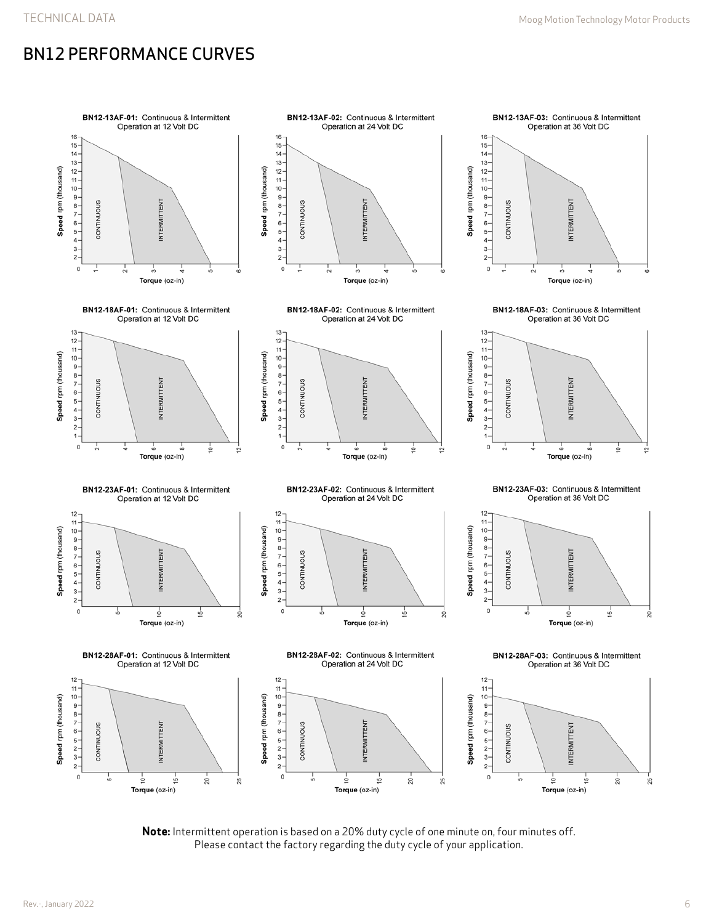## BN12 PERFORMANCE CURVES



**Note:** Intermittent operation is based on a 20% duty cycle of one minute on, four minutes off. Please contact the factory regarding the duty cycle of your application.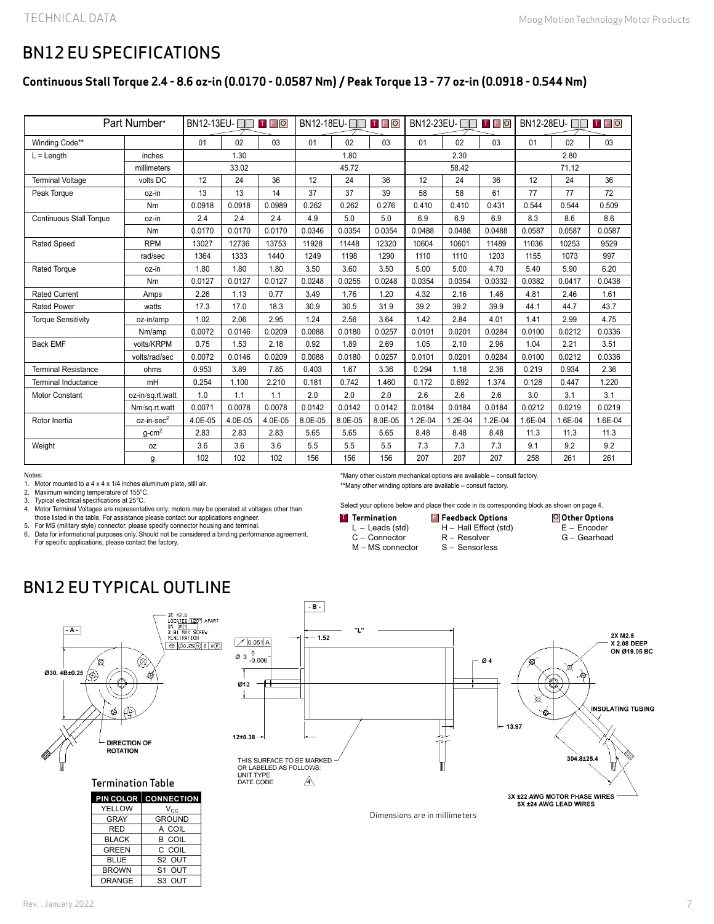### BN12 EU SPECIFICATIONS

### **Continuous Stall Torque 2.4 - 8.6 oz-in (0.0170 - 0.0587 Nm) / Peak Torque 13 - 77 oz-in (0.0918 - 0.544 Nm)**

| Part Number*                   |                        |         |         |         | <b>TFO</b><br>BN12-18EU-□□ |         |         | <b>BN12-23EU-□□□□□</b> |         |         | <b>TFO</b><br>BN12-28EU- |         |         |
|--------------------------------|------------------------|---------|---------|---------|----------------------------|---------|---------|------------------------|---------|---------|--------------------------|---------|---------|
| Winding Code**                 |                        | 01      | 02      | 03      | 01                         | 02      | 03      | 01                     | 02      | 03      | 01                       | 02      | 03      |
| $L =$ Length                   | inches                 | 1.30    |         |         | 1.80                       |         |         | 2.30                   |         |         | 2.80                     |         |         |
|                                | millimeters            | 33.02   |         |         | 45.72                      |         |         |                        | 58.42   |         | 71.12                    |         |         |
| <b>Terminal Voltage</b>        | volts DC               | 12      | 24      | 36      | 12                         | 24      | 36      | 12                     | 24      | 36      | 12                       | 24      | 36      |
| Peak Torque                    | oz-in                  | 13      | 13      | 14      | 37                         | 37      | 39      | 58                     | 58      | 61      | 77                       | 77      | 72      |
|                                | Nm                     | 0.0918  | 0.0918  | 0.0989  | 0.262                      | 0.262   | 0.276   | 0.410                  | 0.410   | 0.431   | 0.544                    | 0.544   | 0.509   |
| <b>Continuous Stall Torque</b> | oz-in                  | 2.4     | 2.4     | 2.4     | 4.9                        | 5.0     | 5.0     | 6.9                    | 6.9     | 6.9     | 8.3                      | 8.6     | 8.6     |
|                                | Nm                     | 0.0170  | 0.0170  | 0.0170  | 0.0346                     | 0.0354  | 0.0354  | 0.0488                 | 0.0488  | 0.0488  | 0.0587                   | 0.0587  | 0.0587  |
| <b>Rated Speed</b>             | <b>RPM</b>             | 13027   | 12736   | 13753   | 11928                      | 11448   | 12320   | 10604                  | 10601   | 11489   | 11036                    | 10253   | 9529    |
|                                | rad/sec                | 1364    | 1333    | 1440    | 1249                       | 1198    | 1290    | 1110                   | 1110    | 1203    | 1155                     | 1073    | 997     |
| <b>Rated Torque</b>            | oz-in                  | 1.80    | 1.80    | 1.80    | 3.50                       | 3.60    | 3.50    | 5.00                   | 5.00    | 4.70    | 5.40                     | 5.90    | 6.20    |
|                                | Nm                     | 0.0127  | 0.0127  | 0.0127  | 0.0248                     | 0.0255  | 0.0248  | 0.0354                 | 0.0354  | 0.0332  | 0.0382                   | 0.0417  | 0.0438  |
| <b>Rated Current</b>           | Amps                   | 2.26    | 1.13    | 0.77    | 3.49                       | 1.76    | 1.20    | 4.32                   | 2.16    | 1.46    | 4.81                     | 2.46    | 1.61    |
| <b>Rated Power</b>             | watts                  | 17.3    | 17.0    | 18.3    | 30.9                       | 30.5    | 31.9    | 39.2                   | 39.2    | 39.9    | 44.1                     | 44.7    | 43.7    |
| <b>Torque Sensitivity</b>      | oz-in/amp              | 1.02    | 2.06    | 2.95    | 1.24                       | 2.56    | 3.64    | 1.42                   | 2.84    | 4.01    | 1.41                     | 2.99    | 4.75    |
|                                | Nm/amp                 | 0.0072  | 0.0146  | 0.0209  | 0.0088                     | 0.0180  | 0.0257  | 0.0101                 | 0.0201  | 0.0284  | 0.0100                   | 0.0212  | 0.0336  |
| <b>Back EMF</b>                | volts/KRPM             | 0.75    | 1.53    | 2.18    | 0.92                       | 1.89    | 2.69    | 1.05                   | 2.10    | 2.96    | 1.04                     | 2.21    | 3.51    |
|                                | volts/rad/sec          | 0.0072  | 0.0146  | 0.0209  | 0.0088                     | 0.0180  | 0.0257  | 0.0101                 | 0.0201  | 0.0284  | 0.0100                   | 0.0212  | 0.0336  |
| <b>Terminal Resistance</b>     | ohms                   | 0.953   | 3.89    | 7.85    | 0.403                      | 1.67    | 3.36    | 0.294                  | 1.18    | 2.36    | 0.219                    | 0.934   | 2.36    |
| <b>Terminal Inductance</b>     | mH                     | 0.254   | 1.100   | 2.210   | 0.181                      | 0.742   | 1.460   | 0.172                  | 0.692   | 1.374   | 0.128                    | 0.447   | 1.220   |
| Motor Constant                 | oz-in/sq.rt.watt       | 1.0     | 1.1     | 1.1     | 2.0                        | 2.0     | 2.0     | 2.6                    | 2.6     | 2.6     | 3.0                      | 3.1     | 3.1     |
|                                | Nm/sq.rt.watt          | 0.0071  | 0.0078  | 0.0078  | 0.0142                     | 0.0142  | 0.0142  | 0.0184                 | 0.0184  | 0.0184  | 0.0212                   | 0.0219  | 0.0219  |
| Rotor Inertia                  | oz-in-sec <sup>2</sup> | 4.0E-05 | 4.0E-05 | 4.0E-05 | 8.0E-05                    | 8.0E-05 | 8.0E-05 | 1.2E-04                | 1.2E-04 | 1.2E-04 | 1.6E-04                  | 1.6E-04 | 1.6E-04 |
|                                | $a$ -cm <sup>2</sup>   | 2.83    | 2.83    | 2.83    | 5.65                       | 5.65    | 5.65    | 8.48                   | 8.48    | 8.48    | 11.3                     | 11.3    | 11.3    |
| Weight                         | 0Z                     | 3.6     | 3.6     | 3.6     | 5.5                        | 5.5     | 5.5     | 7.3                    | 7.3     | 7.3     | 9.1                      | 9.2     | 9.2     |
|                                | g                      | 102     | 102     | 102     | 156                        | 156     | 156     | 207                    | 207     | 207     | 258                      | 261     | 261     |

Notes:

1. Motor mounted to a  $4 \times 4 \times 1/4$  inches aluminum plate, still air.<br>2. Maximum winding temperature of 155°C.

2. Maximum winding temperature of 155°C.<br>3. Typical electrical specifications at 25°C.

Typical electrical specifications at 25°C.

- 4. Motor Terminal Voltages are representative only; motors may be operated at voltages other than
- those listed in the table. For assistance please contact our applications engineer.

5. For MS (military style) connector, please specify connector housing and terminal. 6. Data for informational purposes only. Should not be considered a binding performance agreement.

For specific applications, please contact the factory.

\*Many other custom mechanical options are available – consult factory.

\*\*Many other winding options are available – consult factory.

Select your options below and place their code in its corresponding block as shown on page 4.

H – Hall Effect (std) R – Resolver S – Sensorless

**Termination** L – Leads (std) C – Connector **FREE OPTIONS OF STATE OF STATE OF STATE OF STATE OF STATE OF STATE OF STATE OF STATE OF STATE OF STATE OF STATE** 

M – MS connector

**Other Options** E – Encoder G – Gearhead

## BN12 EU TYPICAL OUTLINE



#### Termination Table

|               | <b>PIN COLOR CONNECTION</b> |
|---------------|-----------------------------|
| YELLOW        | $V_{\rm CC}$                |
| <b>GRAY</b>   | <b>GROUND</b>               |
| <b>RED</b>    | A COIL                      |
| <b>BLACK</b>  | <b>B COIL</b>               |
| <b>GREEN</b>  | C COIL                      |
| <b>BLUE</b>   | S <sub>2</sub> OUT          |
| <b>BROWN</b>  | S1 OUT                      |
| <b>ORANGE</b> | S3 OUT                      |



Dimensions are in millimeters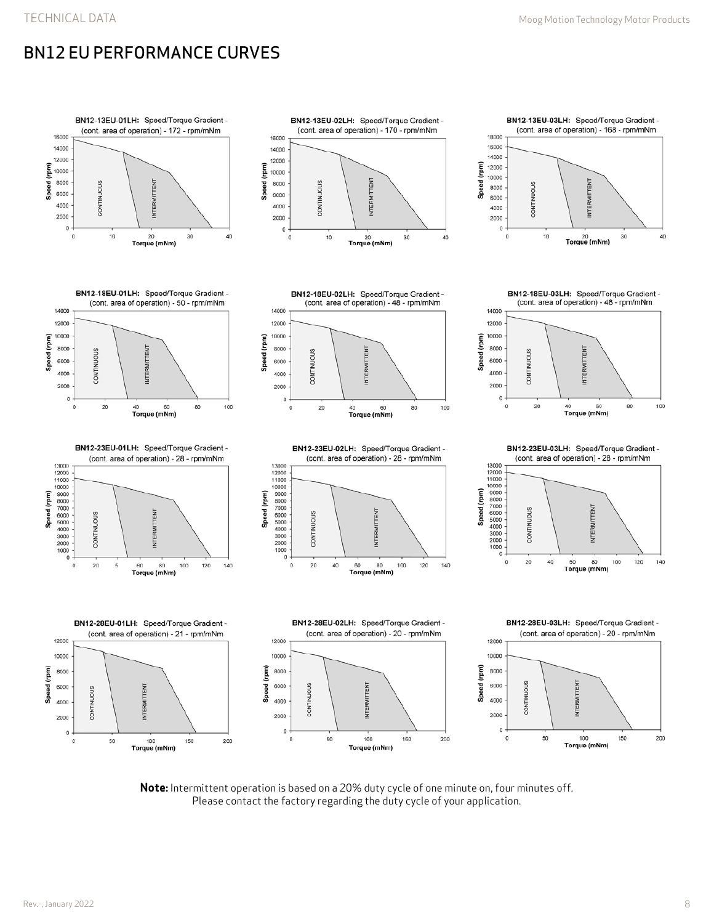# BN12 EU PERFORMANCE CURVES



**Note:** Intermittent operation is based on a 20% duty cycle of one minute on, four minutes off. Please contact the factory regarding the duty cycle of your application.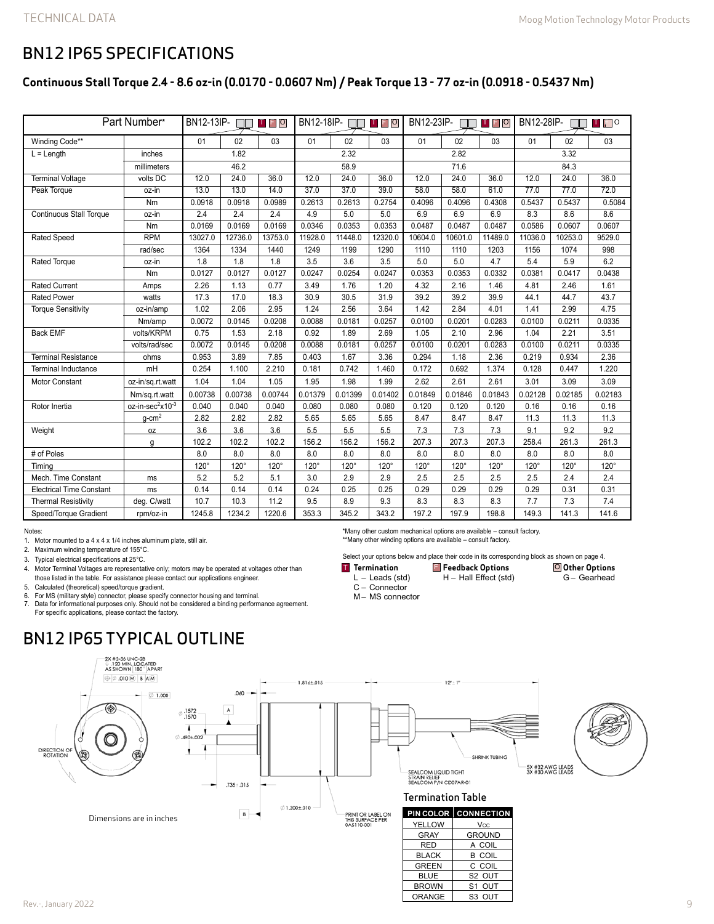**Other Options** G – Gearhead

### BN12 IP65 SPECIFICATIONS

#### **Continuous Stall Torque 2.4 - 8.6 oz-in (0.0170 - 0.0607 Nm) / Peak Torque 13 - 77 oz-in (0.0918 - 0.5437 Nm)**

| Part Number*                    |                                          | BN12-13IP-<br><b>TFO</b> |             |             | BN12-18IP- $\square$<br>TFO |             |         | BN12-23IP-<br><b>TFO</b> |         |         | BN12-28IP-<br>T FO<br>ПN |         |         |  |
|---------------------------------|------------------------------------------|--------------------------|-------------|-------------|-----------------------------|-------------|---------|--------------------------|---------|---------|--------------------------|---------|---------|--|
| Winding Code**                  |                                          | 01                       | 02          | 03          | 01                          | 02          | 03      | 01                       | 02      | 03      | 01                       | 02      | 03      |  |
| $L =$ Length                    | inches                                   |                          | 1.82        |             | 2.32                        |             |         | 2.82                     |         |         | 3.32                     |         |         |  |
|                                 | millimeters                              | 46.2                     |             |             |                             | 58.9        |         |                          | 71.6    |         |                          | 84.3    |         |  |
| <b>Terminal Voltage</b>         | volts DC                                 | 12.0                     | 24.0        | 36.0        | 12.0                        | 24.0        | 36.0    | 12.0                     | 24.0    | 36.0    | 12.0                     | 24.0    | 36.0    |  |
| Peak Torque                     | oz-in                                    | 13.0                     | 13.0        | 14.0        | 37.0                        | 37.0        | 39.0    | 58.0                     | 58.0    | 61.0    | 77.0                     | 77.0    | 72.0    |  |
|                                 | Nm                                       | 0.0918                   | 0.0918      | 0.0989      | 0.2613                      | 0.2613      | 0.2754  | 0.4096                   | 0.4096  | 0.4308  | 0.5437                   | 0.5437  | 0.5084  |  |
| <b>Continuous Stall Torque</b>  | oz-in                                    | 2.4                      | 2.4         | 2.4         | 4.9                         | 5.0         | 5.0     | 6.9                      | 6.9     | 6.9     | 8.3                      | 8.6     | 8.6     |  |
|                                 | Nm                                       | 0.0169                   | 0.0169      | 0.0169      | 0.0346                      | 0.0353      | 0.0353  | 0.0487                   | 0.0487  | 0.0487  | 0.0586                   | 0.0607  | 0.0607  |  |
| <b>Rated Speed</b>              | <b>RPM</b>                               | 13027.0                  | 12736.0     | 13753.0     | 11928.0                     | 11448.0     | 12320.0 | 10604.0                  | 10601.0 | 11489.0 | 11036.0                  | 10253.0 | 9529.0  |  |
|                                 | rad/sec                                  | 1364                     | 1334        | 1440        | 1249                        | 1199        | 1290    | 1110                     | 1110    | 1203    | 1156                     | 1074    | 998     |  |
| <b>Rated Torque</b>             | oz-in                                    | 1.8                      | 1.8         | 1.8         | 3.5                         | 3.6         | 3.5     | 5.0                      | 5.0     | 4.7     | 5.4                      | 5.9     | 6.2     |  |
|                                 | Nm                                       | 0.0127                   | 0.0127      | 0.0127      | 0.0247                      | 0.0254      | 0.0247  | 0.0353                   | 0.0353  | 0.0332  | 0.0381                   | 0.0417  | 0.0438  |  |
| <b>Rated Current</b>            | Amps                                     | 2.26                     | 1.13        | 0.77        | 3.49                        | 1.76        | 1.20    | 4.32                     | 2.16    | 1.46    | 4.81                     | 2.46    | 1.61    |  |
| <b>Rated Power</b>              | watts                                    | 17.3                     | 17.0        | 18.3        | 30.9                        | 30.5        | 31.9    | 39.2                     | 39.2    | 39.9    | 44.1                     | 44.7    | 43.7    |  |
| <b>Torque Sensitivity</b>       | oz-in/amp                                | 1.02                     | 2.06        | 2.95        | 1.24                        | 2.56        | 3.64    | 1.42                     | 2.84    | 4.01    | 1.41                     | 2.99    | 4.75    |  |
|                                 | Nm/amp                                   | 0.0072                   | 0.0145      | 0.0208      | 0.0088                      | 0.0181      | 0.0257  | 0.0100                   | 0.0201  | 0.0283  | 0.0100                   | 0.0211  | 0.0335  |  |
| <b>Back EMF</b>                 | volts/KRPM                               | 0.75                     | 1.53        | 2.18        | 0.92                        | 1.89        | 2.69    | 1.05                     | 2.10    | 2.96    | 1.04                     | 2.21    | 3.51    |  |
|                                 | volts/rad/sec                            | 0.0072                   | 0.0145      | 0.0208      | 0.0088                      | 0.0181      | 0.0257  | 0.0100                   | 0.0201  | 0.0283  | 0.0100                   | 0.0211  | 0.0335  |  |
| <b>Terminal Resistance</b>      | ohms                                     | 0.953                    | 3.89        | 7.85        | 0.403                       | 1.67        | 3.36    | 0.294                    | 1.18    | 2.36    | 0.219                    | 0.934   | 2.36    |  |
| <b>Terminal Inductance</b>      | mH                                       | 0.254                    | 1.100       | 2.210       | 0.181                       | 0.742       | 1.460   | 0.172                    | 0.692   | 1.374   | 0.128                    | 0.447   | 1.220   |  |
| Motor Constant                  | oz-in/sq.rt.watt                         | 1.04                     | 1.04        | 1.05        | 1.95                        | 1.98        | 1.99    | 2.62                     | 2.61    | 2.61    | 3.01                     | 3.09    | 3.09    |  |
|                                 | Nm/sq.rt.watt                            | 0.00738                  | 0.00738     | 0.00744     | 0.01379                     | 0.01399     | 0.01402 | 0.01849                  | 0.01846 | 0.01843 | 0.02128                  | 0.02185 | 0.02183 |  |
| Rotor Inertia                   | oz-in-sec <sup>2</sup> x10 <sup>-3</sup> | 0.040                    | 0.040       | 0.040       | 0.080                       | 0.080       | 0.080   | 0.120                    | 0.120   | 0.120   | 0.16                     | 0.16    | 0.16    |  |
|                                 | $g$ -cm <sup>2</sup>                     | 2.82                     | 2.82        | 2.82        | 5.65                        | 5.65        | 5.65    | 8.47                     | 8.47    | 8.47    | 11.3                     | 11.3    | 11.3    |  |
| Weight                          | 0Z                                       | 3.6                      | 3.6         | 3.6         | 5.5                         | 5.5         | 5.5     | 7.3                      | 7.3     | 7.3     | 9.1                      | 9.2     | 9.2     |  |
|                                 | g                                        | 102.2                    | 102.2       | 102.2       | 156.2                       | 156.2       | 156.2   | 207.3                    | 207.3   | 207.3   | 258.4                    | 261.3   | 261.3   |  |
| # of Poles                      |                                          | 8.0                      | 8.0         | 8.0         | 8.0                         | 8.0         | 8.0     | 8.0                      | 8.0     | 8.0     | 8.0                      | 8.0     | 8.0     |  |
| Timing                          |                                          | $120^\circ$              | $120^\circ$ | $120^\circ$ | $120^\circ$                 | $120^\circ$ | 120°    | 120°                     | 120°    | 120°    | 120°                     | 120°    | 120°    |  |
| Mech. Time Constant             | ms                                       | 5.2                      | 5.2         | 5.1         | 3.0                         | 2.9         | 2.9     | 2.5                      | 2.5     | 2.5     | 2.5                      | 2.4     | 2.4     |  |
| <b>Electrical Time Constant</b> | ms                                       | 0.14                     | 0.14        | 0.14        | 0.24                        | 0.25        | 0.25    | 0.29                     | 0.29    | 0.29    | 0.29                     | 0.31    | 0.31    |  |
| <b>Thermal Resistivity</b>      | deg. C/watt                              | 10.7                     | 10.3        | 11.2        | 9.5                         | 8.9         | 9.3     | 8.3                      | 8.3     | 8.3     | 7.7                      | 7.3     | 7.4     |  |
| Speed/Torque Gradient           | rpm/oz-in                                | 1245.8                   | 1234.2      | 1220.6      | 353.3                       | 345.2       | 343.2   | 197.2                    | 197.9   | 198.8   | 149.3                    | 141.3   | 141.6   |  |

Notes:

1. Motor mounted to a 4 x 4 x 1/4 inches aluminum plate, still air.

2. Maximum winding temperature of 155°C.

3. Typical electrical specifications at 25°C.

4. Motor Terminal Voltages are representative only; motors may be operated at voltages other than

those listed in the table. For assistance please contact our applications engineer.

5. Calculated (theoretical) speed/torque gradient.

6. For MS (military style) connector, please specify connector housing and terminal. 7. Data for informational purposes only. Should not be considered a binding performance agreement. For specific applications, please contact the factory.

## BN12 IP65 TYPICAL OUTLINE



\*Many other custom mechanical options are available – consult factory. \*\*Many other winding options are available – consult factory.

H – Hall Effect (std)

BROWN S1 OUT

**ORANGE** 

Select your options below and place their code in its corresponding block as shown on page 4. **Termination**

 $L -$  Leads (std) **Feedback Options** T F O

C – Connector

M– MS connector